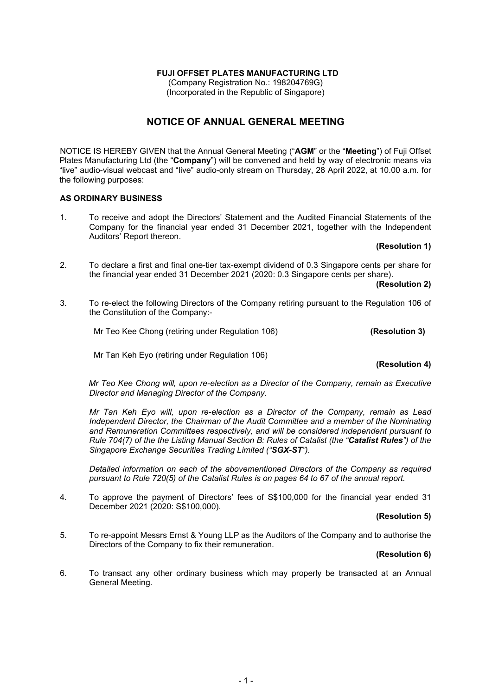# FUJI OFFSET PLATES MANUFACTURING LTD

(Company Registration No.: 198204769G) (Incorporated in the Republic of Singapore)

# NOTICE OF ANNUAL GENERAL MEETING

NOTICE IS HEREBY GIVEN that the Annual General Meeting ("AGM" or the "Meeting") of Fuji Offset Plates Manufacturing Ltd (the "Company") will be convened and held by way of electronic means via "live" audio-visual webcast and "live" audio-only stream on Thursday, 28 April 2022, at 10.00 a.m. for the following purposes:

### AS ORDINARY BUSINESS

1. To receive and adopt the Directors' Statement and the Audited Financial Statements of the Company for the financial year ended 31 December 2021, together with the Independent Auditors' Report thereon.

#### (Resolution 1)

2. To declare a first and final one-tier tax-exempt dividend of 0.3 Singapore cents per share for the financial year ended 31 December 2021 (2020: 0.3 Singapore cents per share).

(Resolution 2)

3. To re-elect the following Directors of the Company retiring pursuant to the Regulation 106 of the Constitution of the Company:-

Mr Teo Kee Chong (retiring under Regulation 106) (Resolution 3)

Mr Tan Keh Eyo (retiring under Regulation 106)

#### (Resolution 4)

Mr Teo Kee Chong will, upon re-election as a Director of the Company, remain as Executive Director and Managing Director of the Company.

 Mr Tan Keh Eyo will, upon re-election as a Director of the Company, remain as Lead Independent Director, the Chairman of the Audit Committee and a member of the Nominating and Remuneration Committees respectively, and will be considered independent pursuant to Rule 704(7) of the the Listing Manual Section B: Rules of Catalist (the "Catalist Rules") of the Singapore Exchange Securities Trading Limited ("SGX-ST").

 Detailed information on each of the abovementioned Directors of the Company as required pursuant to Rule 720(5) of the Catalist Rules is on pages 64 to 67 of the annual report.

4. To approve the payment of Directors' fees of S\$100,000 for the financial year ended 31 December 2021 (2020: S\$100,000).

#### (Resolution 5)

5. To re-appoint Messrs Ernst & Young LLP as the Auditors of the Company and to authorise the Directors of the Company to fix their remuneration.

#### (Resolution 6)

6. To transact any other ordinary business which may properly be transacted at an Annual General Meeting.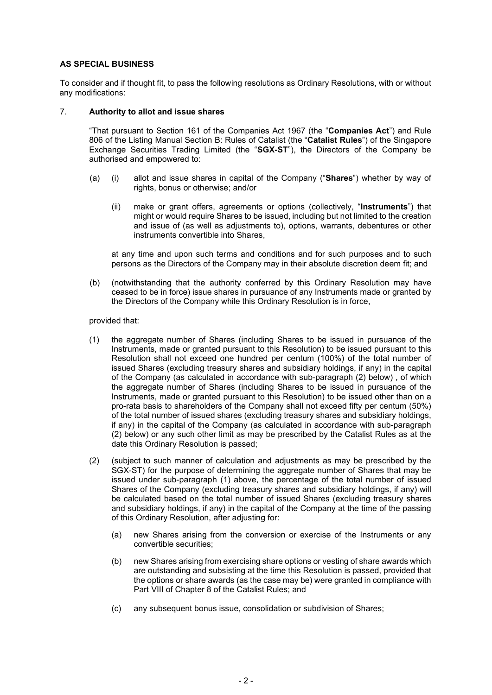### AS SPECIAL BUSINESS

To consider and if thought fit, to pass the following resolutions as Ordinary Resolutions, with or without any modifications:

#### 7. Authority to allot and issue shares

"That pursuant to Section 161 of the Companies Act 1967 (the "Companies Act") and Rule 806 of the Listing Manual Section B: Rules of Catalist (the "Catalist Rules") of the Singapore Exchange Securities Trading Limited (the "SGX-ST"), the Directors of the Company be authorised and empowered to:

- (a) (i) allot and issue shares in capital of the Company ("Shares") whether by way of rights, bonus or otherwise; and/or
	- (ii) make or grant offers, agreements or options (collectively, "**Instruments**") that might or would require Shares to be issued, including but not limited to the creation and issue of (as well as adjustments to), options, warrants, debentures or other instruments convertible into Shares,

at any time and upon such terms and conditions and for such purposes and to such persons as the Directors of the Company may in their absolute discretion deem fit; and

(b) (notwithstanding that the authority conferred by this Ordinary Resolution may have ceased to be in force) issue shares in pursuance of any Instruments made or granted by the Directors of the Company while this Ordinary Resolution is in force,

provided that:

- (1) the aggregate number of Shares (including Shares to be issued in pursuance of the Instruments, made or granted pursuant to this Resolution) to be issued pursuant to this Resolution shall not exceed one hundred per centum (100%) of the total number of issued Shares (excluding treasury shares and subsidiary holdings, if any) in the capital of the Company (as calculated in accordance with sub-paragraph (2) below) , of which the aggregate number of Shares (including Shares to be issued in pursuance of the Instruments, made or granted pursuant to this Resolution) to be issued other than on a pro-rata basis to shareholders of the Company shall not exceed fifty per centum (50%) of the total number of issued shares (excluding treasury shares and subsidiary holdings, if any) in the capital of the Company (as calculated in accordance with sub-paragraph (2) below) or any such other limit as may be prescribed by the Catalist Rules as at the date this Ordinary Resolution is passed;
- (2) (subject to such manner of calculation and adjustments as may be prescribed by the SGX-ST) for the purpose of determining the aggregate number of Shares that may be issued under sub-paragraph (1) above, the percentage of the total number of issued Shares of the Company (excluding treasury shares and subsidiary holdings, if any) will be calculated based on the total number of issued Shares (excluding treasury shares and subsidiary holdings, if any) in the capital of the Company at the time of the passing of this Ordinary Resolution, after adjusting for:
	- (a) new Shares arising from the conversion or exercise of the Instruments or any convertible securities;
	- (b) new Shares arising from exercising share options or vesting of share awards which are outstanding and subsisting at the time this Resolution is passed, provided that the options or share awards (as the case may be) were granted in compliance with Part VIII of Chapter 8 of the Catalist Rules; and
	- (c) any subsequent bonus issue, consolidation or subdivision of Shares;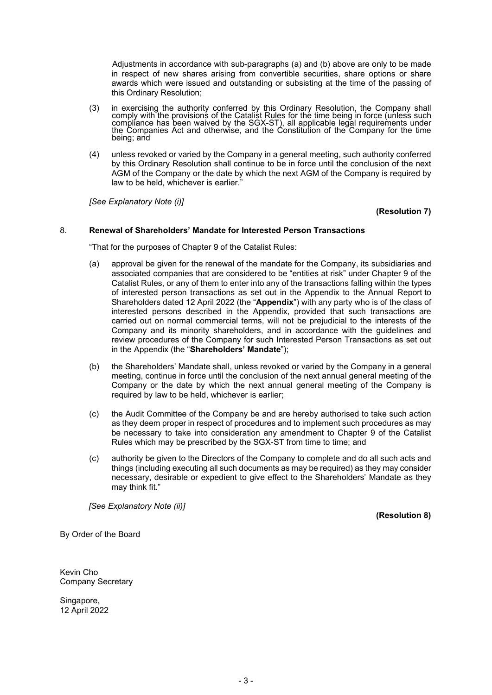Adjustments in accordance with sub-paragraphs (a) and (b) above are only to be made in respect of new shares arising from convertible securities, share options or share awards which were issued and outstanding or subsisting at the time of the passing of this Ordinary Resolution;

- (3) in exercising the authority conferred by this Ordinary Resolution, the Company shall comply with the provisions of the Catalist Rules for the time being in force (unless such compliance has been waived by the SGX-ST), all applicable legal requirements under the Companies Act and otherwise, and the Constitution of the Company for the time being; and
- (4) unless revoked or varied by the Company in a general meeting, such authority conferred by this Ordinary Resolution shall continue to be in force until the conclusion of the next AGM of the Company or the date by which the next AGM of the Company is required by law to be held, whichever is earlier."

[See Explanatory Note (i)]

(Resolution 7)

#### 8. Renewal of Shareholders' Mandate for Interested Person Transactions

"That for the purposes of Chapter 9 of the Catalist Rules:

- (a) approval be given for the renewal of the mandate for the Company, its subsidiaries and associated companies that are considered to be "entities at risk" under Chapter 9 of the Catalist Rules, or any of them to enter into any of the transactions falling within the types of interested person transactions as set out in the Appendix to the Annual Report to Shareholders dated 12 April 2022 (the "Appendix") with any party who is of the class of interested persons described in the Appendix, provided that such transactions are carried out on normal commercial terms, will not be prejudicial to the interests of the Company and its minority shareholders, and in accordance with the guidelines and review procedures of the Company for such Interested Person Transactions as set out in the Appendix (the "Shareholders' Mandate");
- (b) the Shareholders' Mandate shall, unless revoked or varied by the Company in a general meeting, continue in force until the conclusion of the next annual general meeting of the Company or the date by which the next annual general meeting of the Company is required by law to be held, whichever is earlier;
- (c) the Audit Committee of the Company be and are hereby authorised to take such action as they deem proper in respect of procedures and to implement such procedures as may be necessary to take into consideration any amendment to Chapter 9 of the Catalist Rules which may be prescribed by the SGX-ST from time to time; and
- (c) authority be given to the Directors of the Company to complete and do all such acts and things (including executing all such documents as may be required) as they may consider necessary, desirable or expedient to give effect to the Shareholders' Mandate as they may think fit."

[See Explanatory Note (ii)]

(Resolution 8)

By Order of the Board

Kevin Cho Company Secretary

Singapore, 12 April 2022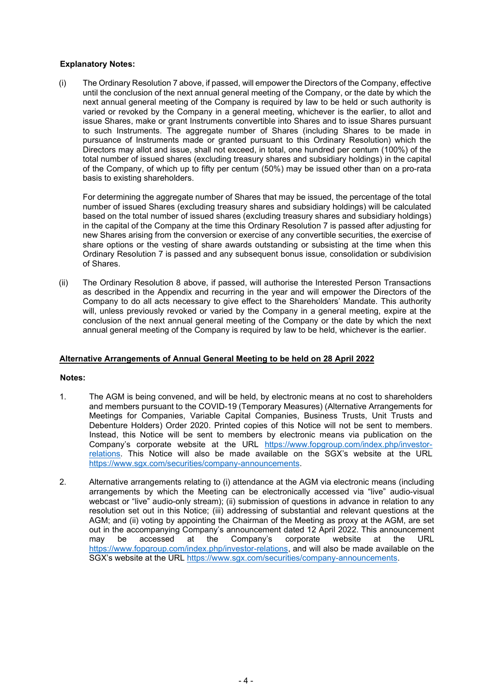## Explanatory Notes:

(i) The Ordinary Resolution 7 above, if passed, will empower the Directors of the Company, effective until the conclusion of the next annual general meeting of the Company, or the date by which the next annual general meeting of the Company is required by law to be held or such authority is varied or revoked by the Company in a general meeting, whichever is the earlier, to allot and issue Shares, make or grant Instruments convertible into Shares and to issue Shares pursuant to such Instruments. The aggregate number of Shares (including Shares to be made in pursuance of Instruments made or granted pursuant to this Ordinary Resolution) which the Directors may allot and issue, shall not exceed, in total, one hundred per centum (100%) of the total number of issued shares (excluding treasury shares and subsidiary holdings) in the capital of the Company, of which up to fifty per centum (50%) may be issued other than on a pro-rata basis to existing shareholders.

 For determining the aggregate number of Shares that may be issued, the percentage of the total number of issued Shares (excluding treasury shares and subsidiary holdings) will be calculated based on the total number of issued shares (excluding treasury shares and subsidiary holdings) in the capital of the Company at the time this Ordinary Resolution 7 is passed after adjusting for new Shares arising from the conversion or exercise of any convertible securities, the exercise of share options or the vesting of share awards outstanding or subsisting at the time when this Ordinary Resolution 7 is passed and any subsequent bonus issue, consolidation or subdivision of Shares.

(ii) The Ordinary Resolution 8 above, if passed, will authorise the Interested Person Transactions as described in the Appendix and recurring in the year and will empower the Directors of the Company to do all acts necessary to give effect to the Shareholders' Mandate. This authority will, unless previously revoked or varied by the Company in a general meeting, expire at the conclusion of the next annual general meeting of the Company or the date by which the next annual general meeting of the Company is required by law to be held, whichever is the earlier.

### Alternative Arrangements of Annual General Meeting to be held on 28 April 2022

#### Notes:

- 1. The AGM is being convened, and will be held, by electronic means at no cost to shareholders and members pursuant to the COVID-19 (Temporary Measures) (Alternative Arrangements for Meetings for Companies, Variable Capital Companies, Business Trusts, Unit Trusts and Debenture Holders) Order 2020. Printed copies of this Notice will not be sent to members. Instead, this Notice will be sent to members by electronic means via publication on the Company's corporate website at the URL https://www.fopgroup.com/index.php/investorrelations. This Notice will also be made available on the SGX's website at the URL https://www.sgx.com/securities/company-announcements.
- 2. Alternative arrangements relating to (i) attendance at the AGM via electronic means (including arrangements by which the Meeting can be electronically accessed via "live" audio-visual webcast or "live" audio-only stream); (ii) submission of questions in advance in relation to any resolution set out in this Notice; (iii) addressing of substantial and relevant questions at the AGM; and (ii) voting by appointing the Chairman of the Meeting as proxy at the AGM, are set out in the accompanying Company's announcement dated 12 April 2022. This announcement may be accessed at the Company's corporate website at the URL https://www.fopgroup.com/index.php/investor-relations, and will also be made available on the SGX's website at the URL https://www.sgx.com/securities/company-announcements.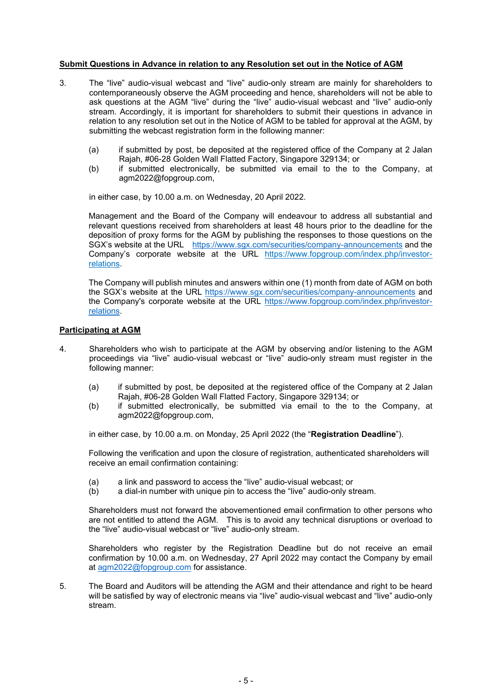#### Submit Questions in Advance in relation to any Resolution set out in the Notice of AGM

- 3. The "live" audio-visual webcast and "live" audio-only stream are mainly for shareholders to contemporaneously observe the AGM proceeding and hence, shareholders will not be able to ask questions at the AGM "live" during the "live" audio-visual webcast and "live" audio-only stream. Accordingly, it is important for shareholders to submit their questions in advance in relation to any resolution set out in the Notice of AGM to be tabled for approval at the AGM, by submitting the webcast registration form in the following manner:
	- (a) if submitted by post, be deposited at the registered office of the Company at 2 Jalan Rajah, #06-28 Golden Wall Flatted Factory, Singapore 329134; or
	- (b) if submitted electronically, be submitted via email to the to the Company, at agm2022@fopgroup.com,

in either case, by 10.00 a.m. on Wednesday, 20 April 2022.

Management and the Board of the Company will endeavour to address all substantial and relevant questions received from shareholders at least 48 hours prior to the deadline for the deposition of proxy forms for the AGM by publishing the responses to those questions on the SGX's website at the URL https://www.sgx.com/securities/company-announcements and the Company's corporate website at the URL https://www.fopgroup.com/index.php/investorrelations.

The Company will publish minutes and answers within one (1) month from date of AGM on both the SGX's website at the URL https://www.sgx.com/securities/company-announcements and the Company's corporate website at the URL https://www.fopgroup.com/index.php/investorrelations.

### Participating at AGM

- 4. Shareholders who wish to participate at the AGM by observing and/or listening to the AGM proceedings via "live" audio-visual webcast or "live" audio-only stream must register in the following manner:
	- (a) if submitted by post, be deposited at the registered office of the Company at 2 Jalan Rajah, #06-28 Golden Wall Flatted Factory, Singapore 329134; or
	- (b) if submitted electronically, be submitted via email to the to the Company, at agm2022@fopgroup.com,

in either case, by 10.00 a.m. on Monday, 25 April 2022 (the "Registration Deadline").

Following the verification and upon the closure of registration, authenticated shareholders will receive an email confirmation containing:

- (a) a link and password to access the "live" audio-visual webcast; or
- (b) a dial-in number with unique pin to access the "live" audio-only stream.

Shareholders must not forward the abovementioned email confirmation to other persons who are not entitled to attend the AGM. This is to avoid any technical disruptions or overload to the "live" audio-visual webcast or "live" audio-only stream.

Shareholders who register by the Registration Deadline but do not receive an email confirmation by 10.00 a.m. on Wednesday, 27 April 2022 may contact the Company by email at agm2022@fopgroup.com for assistance.

5. The Board and Auditors will be attending the AGM and their attendance and right to be heard will be satisfied by way of electronic means via "live" audio-visual webcast and "live" audio-only stream.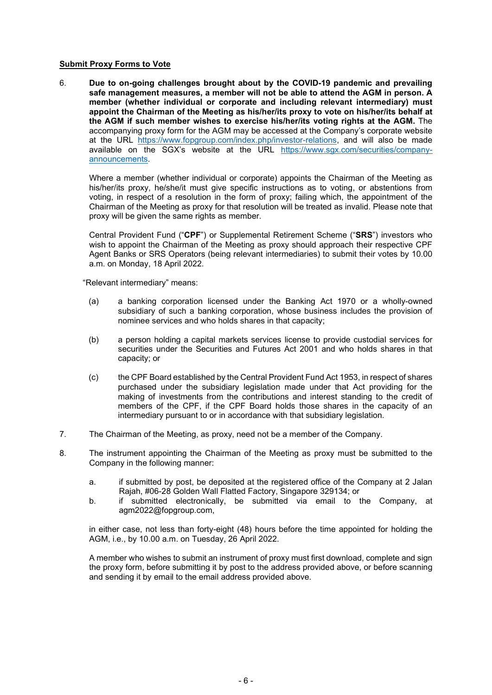#### Submit Proxy Forms to Vote

6. Due to on-going challenges brought about by the COVID-19 pandemic and prevailing safe management measures, a member will not be able to attend the AGM in person. A member (whether individual or corporate and including relevant intermediary) must appoint the Chairman of the Meeting as his/her/its proxy to vote on his/her/its behalf at the AGM if such member wishes to exercise his/her/its voting rights at the AGM. The accompanying proxy form for the AGM may be accessed at the Company's corporate website at the URL https://www.fopgroup.com/index.php/investor-relations, and will also be made available on the SGX's website at the URL https://www.sgx.com/securities/companyannouncements.

Where a member (whether individual or corporate) appoints the Chairman of the Meeting as his/her/its proxy, he/she/it must give specific instructions as to voting, or abstentions from voting, in respect of a resolution in the form of proxy; failing which, the appointment of the Chairman of the Meeting as proxy for that resolution will be treated as invalid. Please note that proxy will be given the same rights as member.

Central Provident Fund ("CPF") or Supplemental Retirement Scheme ("SRS") investors who wish to appoint the Chairman of the Meeting as proxy should approach their respective CPF Agent Banks or SRS Operators (being relevant intermediaries) to submit their votes by 10.00 a.m. on Monday, 18 April 2022.

"Relevant intermediary" means:

- (a) a banking corporation licensed under the Banking Act 1970 or a wholly-owned subsidiary of such a banking corporation, whose business includes the provision of nominee services and who holds shares in that capacity;
- (b) a person holding a capital markets services license to provide custodial services for securities under the Securities and Futures Act 2001 and who holds shares in that capacity; or
- (c) the CPF Board established by the Central Provident Fund Act 1953, in respect of shares purchased under the subsidiary legislation made under that Act providing for the making of investments from the contributions and interest standing to the credit of members of the CPF, if the CPF Board holds those shares in the capacity of an intermediary pursuant to or in accordance with that subsidiary legislation.
- 7. The Chairman of the Meeting, as proxy, need not be a member of the Company.
- 8. The instrument appointing the Chairman of the Meeting as proxy must be submitted to the Company in the following manner:
	- a. if submitted by post, be deposited at the registered office of the Company at 2 Jalan Rajah, #06-28 Golden Wall Flatted Factory, Singapore 329134; or
	- b. if submitted electronically, be submitted via email to the Company, at agm2022@fopgroup.com,

in either case, not less than forty-eight (48) hours before the time appointed for holding the AGM, i.e., by 10.00 a.m. on Tuesday, 26 April 2022.

A member who wishes to submit an instrument of proxy must first download, complete and sign the proxy form, before submitting it by post to the address provided above, or before scanning and sending it by email to the email address provided above.